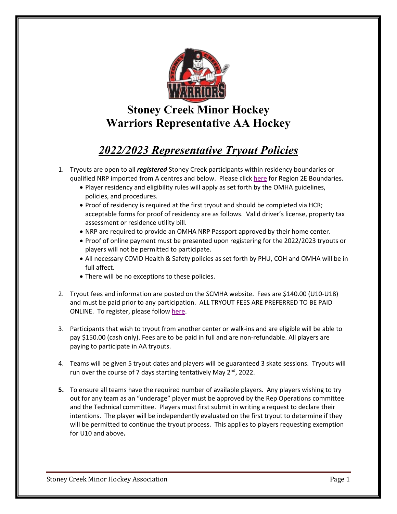

# **Stoney Creek Minor Hockey Warriors Representative AA Hockey**

## *2022/2023 Representative Tryout Policies*

- 1. Tryouts are open to all *registered* Stoney Creek participants within residency boundaries or qualified NRP imported from A centres and below. Please click [here](https://www.google.com/maps/d/u/0/viewer?mid=1gdKmjY2DERZ2gq5bpz7SlCKoB21tAWOA&ll=43.04649897952536%2C-79.36420420000002&z=10) for Region 2E Boundaries.
	- Player residency and eligibility rules will apply as set forth by the OMHA guidelines, policies, and procedures.
	- Proof of residency is required at the first tryout and should be completed via HCR; acceptable forms for proof of residency are as follows. Valid driver's license, property tax assessment or residence utility bill.
	- NRP are required to provide an OMHA NRP Passport approved by their home center.
	- Proof of online payment must be presented upon registering for the 2022/2023 tryouts or players will not be permitted to participate.
	- All necessary COVID Health & Safety policies as set forth by PHU, COH and OMHA will be in full affect.
	- There will be no exceptions to these policies.
- 2. Tryout fees and information are posted on the SCMHA website. Fees are \$140.00 (U10-U18) and must be paid prior to any participation. ALL TRYOUT FEES ARE PREFERRED TO BE PAID ONLINE. To register, please follow [here.](https://scmha.ca/Public/Documents/Registration/Registration_Process_v1.pdf)
- 3. Participants that wish to tryout from another center or walk-ins and are eligible will be able to pay \$150.00 (cash only). Fees are to be paid in full and are non-refundable. All players are paying to participate in AA tryouts.
- 4. Teams will be given 5 tryout dates and players will be guaranteed 3 skate sessions. Tryouts will run over the course of 7 days starting tentatively May 2<sup>nd</sup>, 2022.
- **5.** To ensure all teams have the required number of available players. Any players wishing to try out for any team as an "underage" player must be approved by the Rep Operations committee and the Technical committee. Players must first submit in writing a request to declare their intentions. The player will be independently evaluated on the first tryout to determine if they will be permitted to continue the tryout process. This applies to players requesting exemption for U10 and above**.**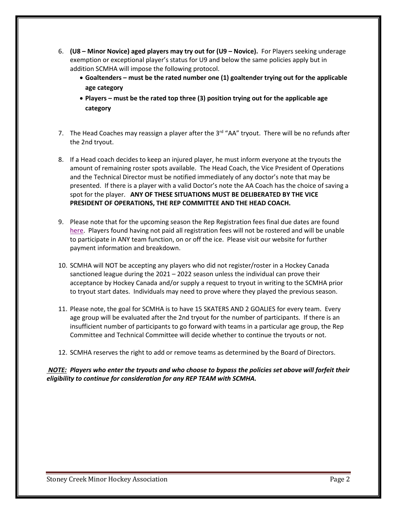- 6. **(U8 – Minor Novice) aged players may try out for (U9 – Novice).** For Players seeking underage exemption or exceptional player's status for U9 and below the same policies apply but in addition SCMHA will impose the following protocol.
	- **Goaltenders – must be the rated number one (1) goaltender trying out for the applicable age category**
	- **Players – must be the rated top three (3) position trying out for the applicable age category**
- 7. The Head Coaches may reassign a player after the 3<sup>rd</sup> "AA" tryout. There will be no refunds after the 2nd tryout.
- 8. If a Head coach decides to keep an injured player, he must inform everyone at the tryouts the amount of remaining roster spots available. The Head Coach, the Vice President of Operations and the Technical Director must be notified immediately of any doctor's note that may be presented. If there is a player with a valid Doctor's note the AA Coach has the choice of saving a spot for the player. **ANY OF THESE SITUATIONS MUST BE DELIBERATED BY THE VICE PRESIDENT OF OPERATIONS, THE REP COMMITTEE AND THE HEAD COACH.**
- 9. Please note that for the upcoming season the Rep Registration fees final due dates are found [here.](https://scmha.ca/Public/Documents/Registration/2022-23_Registration_Fee_Structure_v2.pdf) Players found having not paid all registration fees will not be rostered and will be unable to participate in ANY team function, on or off the ice. Please visit our website for further payment information and breakdown.
- 10. SCMHA will NOT be accepting any players who did not register/roster in a Hockey Canada sanctioned league during the 2021 – 2022 season unless the individual can prove their acceptance by Hockey Canada and/or supply a request to tryout in writing to the SCMHA prior to tryout start dates. Individuals may need to prove where they played the previous season.
- 11. Please note, the goal for SCMHA is to have 15 SKATERS AND 2 GOALIES for every team. Every age group will be evaluated after the 2nd tryout for the number of participants. If there is an insufficient number of participants to go forward with teams in a particular age group, the Rep Committee and Technical Committee will decide whether to continue the tryouts or not.
- 12. SCMHA reserves the right to add or remove teams as determined by the Board of Directors.

### *NOTE: Players who enter the tryouts and who choose to bypass the policies set above will forfeit their eligibility to continue for consideration for any REP TEAM with SCMHA.*